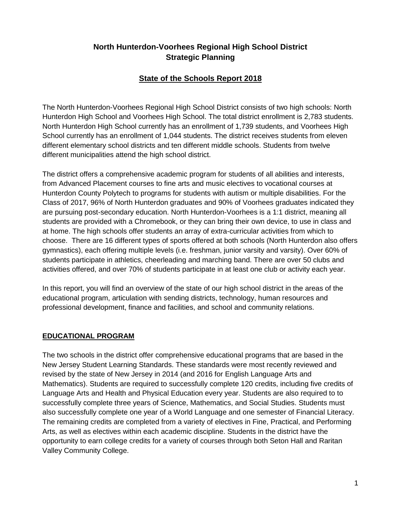## **North Hunterdon-Voorhees Regional High School District Strategic Planning**

# **State of the Schools Report 2018**

The North Hunterdon-Voorhees Regional High School District consists of two high schools: North Hunterdon High School and Voorhees High School. The total district enrollment is 2,783 students. North Hunterdon High School currently has an enrollment of 1,739 students, and Voorhees High School currently has an enrollment of 1,044 students. The district receives students from eleven different elementary school districts and ten different middle schools. Students from twelve different municipalities attend the high school district.

The district offers a comprehensive academic program for students of all abilities and interests, from Advanced Placement courses to fine arts and music electives to vocational courses at Hunterdon County Polytech to programs for students with autism or multiple disabilities. For the Class of 2017, 96% of North Hunterdon graduates and 90% of Voorhees graduates indicated they are pursuing post-secondary education. North Hunterdon-Voorhees is a 1:1 district, meaning all students are provided with a Chromebook, or they can bring their own device, to use in class and at home. The high schools offer students an array of extra-curricular activities from which to choose. There are 16 different types of sports offered at both schools (North Hunterdon also offers gymnastics), each offering multiple levels (i.e. freshman, junior varsity and varsity). Over 60% of students participate in athletics, cheerleading and marching band. There are over 50 clubs and activities offered, and over 70% of students participate in at least one club or activity each year.

In this report, you will find an overview of the state of our high school district in the areas of the educational program, articulation with sending districts, technology, human resources and professional development, finance and facilities, and school and community relations.

## **EDUCATIONAL PROGRAM**

The two schools in the district offer comprehensive educational programs that are based in the New Jersey Student Learning Standards. These standards were most recently reviewed and revised by the state of New Jersey in 2014 (and 2016 for English Language Arts and Mathematics). Students are required to successfully complete 120 credits, including five credits of Language Arts and Health and Physical Education every year. Students are also required to to successfully complete three years of Science, Mathematics, and Social Studies. Students must also successfully complete one year of a World Language and one semester of Financial Literacy. The remaining credits are completed from a variety of electives in Fine, Practical, and Performing Arts, as well as electives within each academic discipline. Students in the district have the opportunity to earn college credits for a variety of courses through both Seton Hall and Raritan Valley Community College.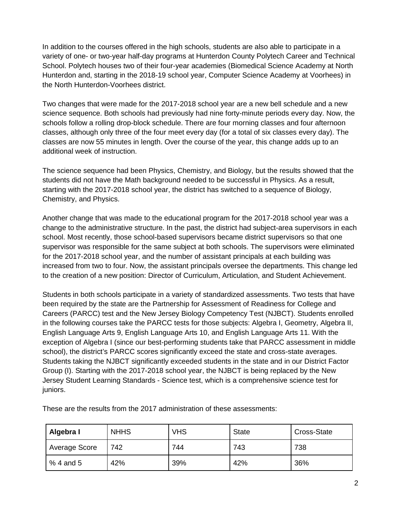In addition to the courses offered in the high schools, students are also able to participate in a variety of one- or two-year half-day programs at Hunterdon County Polytech Career and Technical School. Polytech houses two of their four-year academies (Biomedical Science Academy at North Hunterdon and, starting in the 2018-19 school year, Computer Science Academy at Voorhees) in the North Hunterdon-Voorhees district.

Two changes that were made for the 2017-2018 school year are a new bell schedule and a new science sequence. Both schools had previously had nine forty-minute periods every day. Now, the schools follow a rolling drop-block schedule. There are four morning classes and four afternoon classes, although only three of the four meet every day (for a total of six classes every day). The classes are now 55 minutes in length. Over the course of the year, this change adds up to an additional week of instruction.

The science sequence had been Physics, Chemistry, and Biology, but the results showed that the students did not have the Math background needed to be successful in Physics. As a result, starting with the 2017-2018 school year, the district has switched to a sequence of Biology, Chemistry, and Physics.

Another change that was made to the educational program for the 2017-2018 school year was a change to the administrative structure. In the past, the district had subject-area supervisors in each school. Most recently, those school-based supervisors became district supervisors so that one supervisor was responsible for the same subject at both schools. The supervisors were eliminated for the 2017-2018 school year, and the number of assistant principals at each building was increased from two to four. Now, the assistant principals oversee the departments. This change led to the creation of a new position: Director of Curriculum, Articulation, and Student Achievement.

Students in both schools participate in a variety of standardized assessments. Two tests that have been required by the state are the Partnership for Assessment of Readiness for College and Careers (PARCC) test and the New Jersey Biology Competency Test (NJBCT). Students enrolled in the following courses take the PARCC tests for those subjects: Algebra I, Geometry, Algebra II, English Language Arts 9, English Language Arts 10, and English Language Arts 11. With the exception of Algebra I (since our best-performing students take that PARCC assessment in middle school), the district's PARCC scores significantly exceed the state and cross-state averages. Students taking the NJBCT significantly exceeded students in the state and in our District Factor Group (I). Starting with the 2017-2018 school year, the NJBCT is being replaced by the New Jersey Student Learning Standards - Science test, which is a comprehensive science test for juniors.

| Algebra I     | <b>NHHS</b> | <b>VHS</b> | <b>State</b> | Cross-State |
|---------------|-------------|------------|--------------|-------------|
| Average Score | 742         | 744        | 743          | 738         |
| $%4$ and 5    | 42%         | 39%        | 42%          | 36%         |

These are the results from the 2017 administration of these assessments: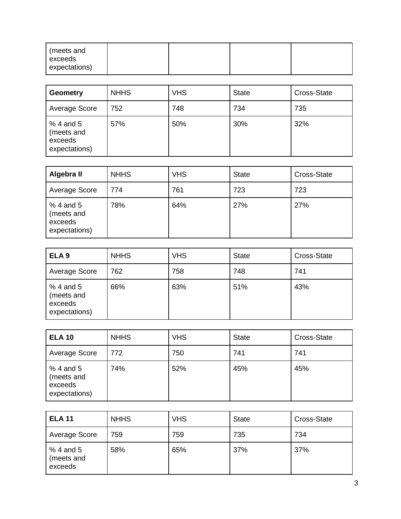| l (meets and<br>exceeds |  |  |
|-------------------------|--|--|
| expectations)           |  |  |

| <b>Geometry</b>                                     | <b>NHHS</b> | <b>VHS</b> | <b>State</b> | Cross-State |
|-----------------------------------------------------|-------------|------------|--------------|-------------|
| Average Score                                       | 752         | 748        | 734          | 735         |
| % 4 and 5<br>(meets and<br>exceeds<br>expectations) | 57%         | 50%        | 30%          | 32%         |

| Algebra II                                           | <b>NHHS</b> | <b>VHS</b> | <b>State</b> | Cross-State |
|------------------------------------------------------|-------------|------------|--------------|-------------|
| Average Score                                        | 774         | 761        | 723          | 723         |
| $%4$ and 5<br>(meets and<br>exceeds<br>expectations) | 78%         | 64%        | 27%          | 27%         |

| ELA <sub>9</sub>                                    | <b>NHHS</b> | <b>VHS</b> | <b>State</b> | Cross-State |
|-----------------------------------------------------|-------------|------------|--------------|-------------|
| Average Score                                       | 762         | 758        | 748          | 741         |
| % 4 and 5<br>(meets and<br>exceeds<br>expectations) | 66%         | 63%        | 51%          | 43%         |

| <b>ELA 10</b>                                        | <b>NHHS</b> | <b>VHS</b> | <b>State</b> | Cross-State |
|------------------------------------------------------|-------------|------------|--------------|-------------|
| Average Score                                        | 772         | 750        | 741          | 741         |
| $%4$ and 5<br>(meets and<br>exceeds<br>expectations) | 74%         | 52%        | 45%          | 45%         |

| <b>ELA 11</b>                       | <b>NHHS</b> | <b>VHS</b> | <b>State</b> | Cross-State |
|-------------------------------------|-------------|------------|--------------|-------------|
| Average Score                       | 759         | 759        | 735          | 734         |
| $%4$ and 5<br>(meets and<br>exceeds | 58%         | 65%        | 37%          | 37%         |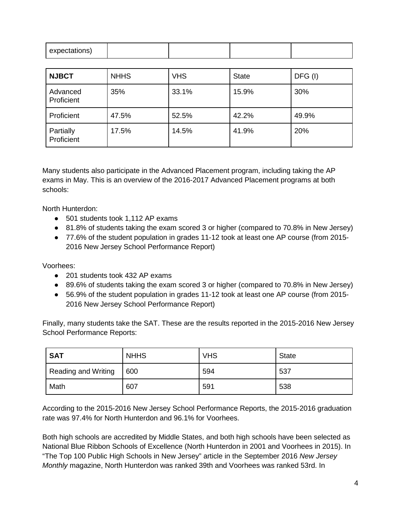| expectations) |  |  |
|---------------|--|--|
|               |  |  |

| <b>NJBCT</b>            | <b>NHHS</b> | <b>VHS</b> | <b>State</b> | DFG (I) |
|-------------------------|-------------|------------|--------------|---------|
| Advanced<br>Proficient  | 35%         | 33.1%      | 15.9%        | 30%     |
| Proficient              | 47.5%       | 52.5%      | 42.2%        | 49.9%   |
| Partially<br>Proficient | 17.5%       | 14.5%      | 41.9%        | 20%     |

Many students also participate in the Advanced Placement program, including taking the AP exams in May. This is an overview of the 2016-2017 Advanced Placement programs at both schools:

North Hunterdon:

- 501 students took 1,112 AP exams
- 81.8% of students taking the exam scored 3 or higher (compared to 70.8% in New Jersey)
- 77.6% of the student population in grades 11-12 took at least one AP course (from 2015- 2016 New Jersey School Performance Report)

Voorhees:

- 201 students took 432 AP exams
- 89.6% of students taking the exam scored 3 or higher (compared to 70.8% in New Jersey)
- 56.9% of the student population in grades 11-12 took at least one AP course (from 2015-2016 New Jersey School Performance Report)

Finally, many students take the SAT. These are the results reported in the 2015-2016 New Jersey School Performance Reports:

| <b>SAT</b>                 | <b>NHHS</b> | <b>VHS</b> | <b>State</b> |
|----------------------------|-------------|------------|--------------|
| <b>Reading and Writing</b> | 600         | 594        | 537          |
| Math                       | 607         | 591        | 538          |

According to the 2015-2016 New Jersey School Performance Reports, the 2015-2016 graduation rate was 97.4% for North Hunterdon and 96.1% for Voorhees.

Both high schools are accredited by Middle States, and both high schools have been selected as National Blue Ribbon Schools of Excellence (North Hunterdon in 2001 and Voorhees in 2015). In "The Top 100 Public High Schools in New Jersey" article in the September 2016 *New Jersey Monthly* magazine, North Hunterdon was ranked 39th and Voorhees was ranked 53rd. In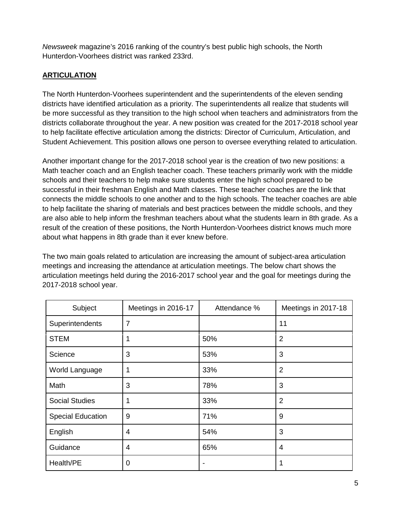*Newsweek* magazine's 2016 ranking of the country's best public high schools, the North Hunterdon-Voorhees district was ranked 233rd.

## **ARTICULATION**

The North Hunterdon-Voorhees superintendent and the superintendents of the eleven sending districts have identified articulation as a priority. The superintendents all realize that students will be more successful as they transition to the high school when teachers and administrators from the districts collaborate throughout the year. A new position was created for the 2017-2018 school year to help facilitate effective articulation among the districts: Director of Curriculum, Articulation, and Student Achievement. This position allows one person to oversee everything related to articulation.

Another important change for the 2017-2018 school year is the creation of two new positions: a Math teacher coach and an English teacher coach. These teachers primarily work with the middle schools and their teachers to help make sure students enter the high school prepared to be successful in their freshman English and Math classes. These teacher coaches are the link that connects the middle schools to one another and to the high schools. The teacher coaches are able to help facilitate the sharing of materials and best practices between the middle schools, and they are also able to help inform the freshman teachers about what the students learn in 8th grade. As a result of the creation of these positions, the North Hunterdon-Voorhees district knows much more about what happens in 8th grade than it ever knew before.

The two main goals related to articulation are increasing the amount of subject-area articulation meetings and increasing the attendance at articulation meetings. The below chart shows the articulation meetings held during the 2016-2017 school year and the goal for meetings during the 2017-2018 school year.

| Subject                  | Meetings in 2016-17 | Attendance %   | Meetings in 2017-18 |
|--------------------------|---------------------|----------------|---------------------|
| Superintendents          | 7                   |                | 11                  |
| <b>STEM</b>              | 1                   | 50%            | $\overline{2}$      |
| Science                  | 3                   | 53%            | 3                   |
| World Language           | 1                   | 33%            | $\overline{2}$      |
| Math                     | 3                   | 78%            | 3                   |
| <b>Social Studies</b>    | 1                   | 33%            | $\overline{2}$      |
| <b>Special Education</b> | 9                   | 71%            | 9                   |
| English                  | 4                   | 54%            | 3                   |
| Guidance                 | 4                   | 65%            | 4                   |
| Health/PE                | 0                   | $\blacksquare$ | 1                   |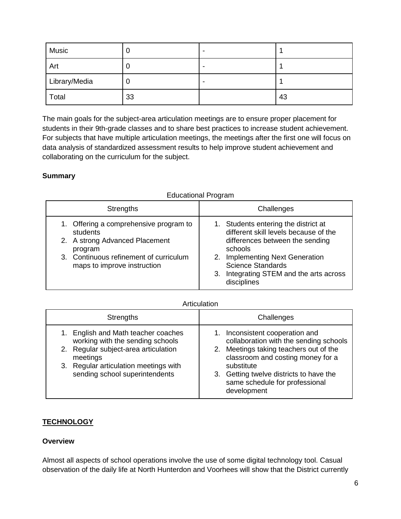| Music         |    | -                        |    |
|---------------|----|--------------------------|----|
| Art           | u  | ۰                        |    |
| Library/Media | υ  | $\overline{\phantom{0}}$ |    |
| Total         | 33 |                          | 43 |

The main goals for the subject-area articulation meetings are to ensure proper placement for students in their 9th-grade classes and to share best practices to increase student achievement. For subjects that have multiple articulation meetings, the meetings after the first one will focus on data analysis of standardized assessment results to help improve student achievement and collaborating on the curriculum for the subject.

## **Summary**

#### Strengths **Challenges** 1. Offering a comprehensive program to students 2. A strong Advanced Placement program 3. Continuous refinement of curriculum maps to improve instruction 1. Students entering the district at different skill levels because of the differences between the sending schools 2. Implementing Next Generation Science Standards 3. Integrating STEM and the arts across disciplines

#### Educational Program

#### **Articulation**

| <b>Strengths</b>                                                                                                                                                                                                | Challenges                                                                                                                                                                                                                                                         |  |
|-----------------------------------------------------------------------------------------------------------------------------------------------------------------------------------------------------------------|--------------------------------------------------------------------------------------------------------------------------------------------------------------------------------------------------------------------------------------------------------------------|--|
| English and Math teacher coaches<br>1.<br>working with the sending schools<br>Regular subject-area articulation<br>2.<br>meetings<br>Regular articulation meetings with<br>3.<br>sending school superintendents | 1. Inconsistent cooperation and<br>collaboration with the sending schools<br>2. Meetings taking teachers out of the<br>classroom and costing money for a<br>substitute<br>3. Getting twelve districts to have the<br>same schedule for professional<br>development |  |

## **TECHNOLOGY**

## **Overview**

Almost all aspects of school operations involve the use of some digital technology tool. Casual observation of the daily life at North Hunterdon and Voorhees will show that the District currently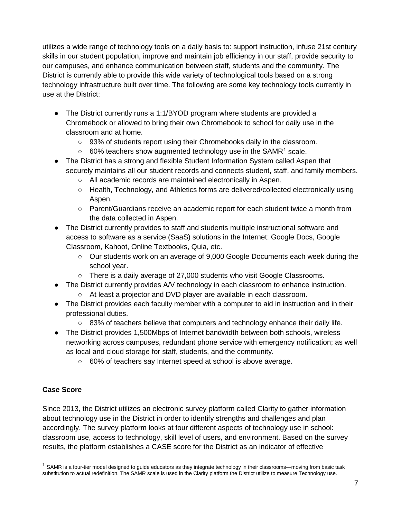utilizes a wide range of technology tools on a daily basis to: support instruction, infuse 21st century skills in our student population, improve and maintain job efficiency in our staff, provide security to our campuses, and enhance communication between staff, students and the community. The District is currently able to provide this wide variety of technological tools based on a strong technology infrastructure built over time. The following are some key technology tools currently in use at the District:

- The District currently runs a 1:1/BYOD program where students are provided a Chromebook or allowed to bring their own Chromebook to school for daily use in the classroom and at home.
	- 93% of students report using their Chromebooks daily in the classroom.
	- $\circ$  60% teachers show augmented technology use in the SAMR<sup>[1](#page-6-0)</sup> scale.
- The District has a strong and flexible Student Information System called Aspen that securely maintains all our student records and connects student, staff, and family members.
	- All academic records are maintained electronically in Aspen.
	- Health, Technology, and Athletics forms are delivered/collected electronically using Aspen.
	- Parent/Guardians receive an academic report for each student twice a month from the data collected in Aspen.
- The District currently provides to staff and students multiple instructional software and access to software as a service (SaaS) solutions in the Internet: Google Docs, Google Classroom, Kahoot, Online Textbooks, Quia, etc.
	- Our students work on an average of 9,000 Google Documents each week during the school year.
	- There is a daily average of 27,000 students who visit Google Classrooms.
- The District currently provides A/V technology in each classroom to enhance instruction.
	- At least a projector and DVD player are available in each classroom.
- The District provides each faculty member with a computer to aid in instruction and in their professional duties.
	- 83% of teachers believe that computers and technology enhance their daily life.
- The District provides 1,500Mbps of Internet bandwidth between both schools, wireless networking across campuses, redundant phone service with emergency notification; as well as local and cloud storage for staff, students, and the community.
	- 60% of teachers say Internet speed at school is above average.

## **Case Score**

Since 2013, the District utilizes an electronic survey platform called Clarity to gather information about technology use in the District in order to identify strengths and challenges and plan accordingly. The survey platform looks at four different aspects of technology use in school: classroom use, access to technology, skill level of users, and environment. Based on the survey results, the platform establishes a CASE score for the District as an indicator of effective

<span id="page-6-0"></span> $1$  SAMR is a four-tier model designed to guide educators as they integrate technology in their classrooms—moving from basic task substitution to actual redefinition. The SAMR scale is used in the Clarity platform the District utilize to measure Technology use.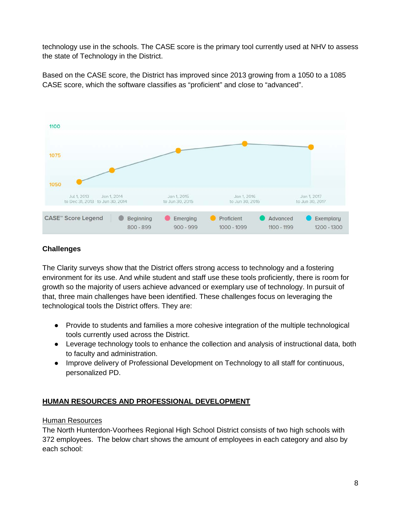technology use in the schools. The CASE score is the primary tool currently used at NHV to assess the state of Technology in the District.

Based on the CASE score, the District has improved since 2013 growing from a 1050 to a 1085 CASE score, which the software classifies as "proficient" and close to "advanced".



## **Challenges**

The Clarity surveys show that the District offers strong access to technology and a fostering environment for its use. And while student and staff use these tools proficiently, there is room for growth so the majority of users achieve advanced or exemplary use of technology. In pursuit of that, three main challenges have been identified. These challenges focus on leveraging the technological tools the District offers. They are:

- Provide to students and families a more cohesive integration of the multiple technological tools currently used across the District.
- Leverage technology tools to enhance the collection and analysis of instructional data, both to faculty and administration.
- Improve delivery of Professional Development on Technology to all staff for continuous, personalized PD.

## **HUMAN RESOURCES AND PROFESSIONAL DEVELOPMENT**

## Human Resources

The North Hunterdon-Voorhees Regional High School District consists of two high schools with 372 employees. The below chart shows the amount of employees in each category and also by each school: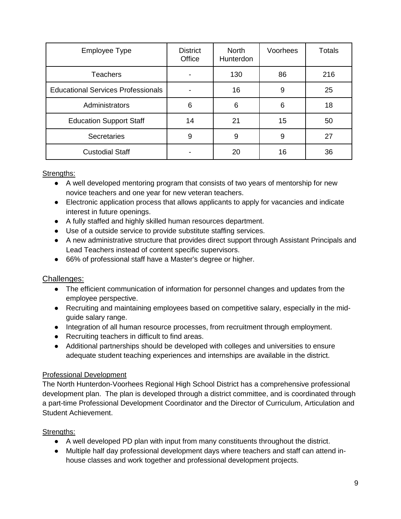| <b>Employee Type</b>                      | <b>District</b><br>Office | <b>North</b><br>Hunterdon | Voorhees | <b>Totals</b> |
|-------------------------------------------|---------------------------|---------------------------|----------|---------------|
| <b>Teachers</b>                           |                           | 130                       | 86       | 216           |
| <b>Educational Services Professionals</b> |                           | 16                        | 9        | 25            |
| Administrators                            | 6                         | 6                         | 6        | 18            |
| <b>Education Support Staff</b>            | 14                        | 21                        | 15       | 50            |
| <b>Secretaries</b>                        | 9                         | 9                         | 9        | 27            |
| <b>Custodial Staff</b>                    |                           | 20                        | 16       | 36            |

#### Strengths:

- A well developed mentoring program that consists of two years of mentorship for new novice teachers and one year for new veteran teachers.
- Electronic application process that allows applicants to apply for vacancies and indicate interest in future openings.
- A fully staffed and highly skilled human resources department.
- Use of a outside service to provide substitute staffing services.
- A new administrative structure that provides direct support through Assistant Principals and Lead Teachers instead of content specific supervisors.
- 66% of professional staff have a Master's degree or higher.

## Challenges:

- The efficient communication of information for personnel changes and updates from the employee perspective.
- Recruiting and maintaining employees based on competitive salary, especially in the midguide salary range.
- Integration of all human resource processes, from recruitment through employment.
- Recruiting teachers in difficult to find areas.
- Additional partnerships should be developed with colleges and universities to ensure adequate student teaching experiences and internships are available in the district.

## Professional Development

The North Hunterdon-Voorhees Regional High School District has a comprehensive professional development plan. The plan is developed through a district committee, and is coordinated through a part-time Professional Development Coordinator and the Director of Curriculum, Articulation and Student Achievement.

## Strengths:

- A well developed PD plan with input from many constituents throughout the district.
- Multiple half day professional development days where teachers and staff can attend inhouse classes and work together and professional development projects.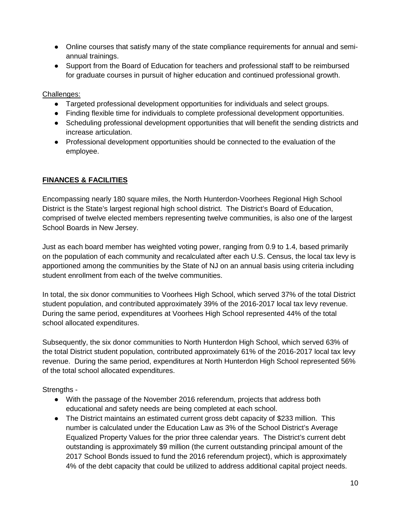- Online courses that satisfy many of the state compliance requirements for annual and semiannual trainings.
- Support from the Board of Education for teachers and professional staff to be reimbursed for graduate courses in pursuit of higher education and continued professional growth.

Challenges:

- Targeted professional development opportunities for individuals and select groups.
- Finding flexible time for individuals to complete professional development opportunities.
- Scheduling professional development opportunities that will benefit the sending districts and increase articulation.
- Professional development opportunities should be connected to the evaluation of the employee.

## **FINANCES & FACILITIES**

Encompassing nearly 180 square miles, the North Hunterdon-Voorhees Regional High School District is the State's largest regional high school district. The District's Board of Education, comprised of twelve elected members representing twelve communities, is also one of the largest School Boards in New Jersey.

Just as each board member has weighted voting power, ranging from 0.9 to 1.4, based primarily on the population of each community and recalculated after each U.S. Census, the local tax levy is apportioned among the communities by the State of NJ on an annual basis using criteria including student enrollment from each of the twelve communities.

In total, the six donor communities to Voorhees High School, which served 37% of the total District student population, and contributed approximately 39% of the 2016-2017 local tax levy revenue. During the same period, expenditures at Voorhees High School represented 44% of the total school allocated expenditures.

Subsequently, the six donor communities to North Hunterdon High School, which served 63% of the total District student population, contributed approximately 61% of the 2016-2017 local tax levy revenue. During the same period, expenditures at North Hunterdon High School represented 56% of the total school allocated expenditures.

Strengths -

- With the passage of the November 2016 referendum, projects that address both educational and safety needs are being completed at each school.
- The District maintains an estimated current gross debt capacity of \$233 million. This number is calculated under the Education Law as 3% of the School District's Average Equalized Property Values for the prior three calendar years. The District's current debt outstanding is approximately \$9 million (the current outstanding principal amount of the 2017 School Bonds issued to fund the 2016 referendum project), which is approximately 4% of the debt capacity that could be utilized to address additional capital project needs.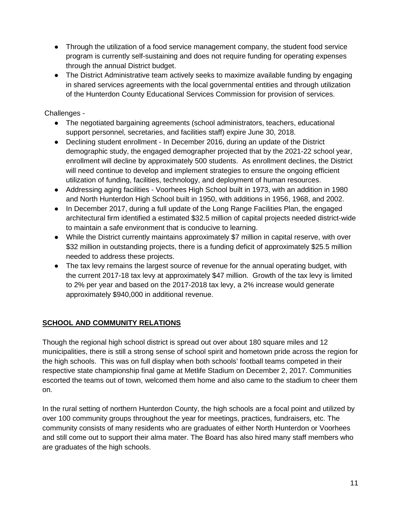- Through the utilization of a food service management company, the student food service program is currently self-sustaining and does not require funding for operating expenses through the annual District budget.
- The District Administrative team actively seeks to maximize available funding by engaging in shared services agreements with the local governmental entities and through utilization of the Hunterdon County Educational Services Commission for provision of services.

Challenges -

- The negotiated bargaining agreements (school administrators, teachers, educational support personnel, secretaries, and facilities staff) expire June 30, 2018.
- Declining student enrollment In December 2016, during an update of the District demographic study, the engaged demographer projected that by the 2021-22 school year, enrollment will decline by approximately 500 students. As enrollment declines, the District will need continue to develop and implement strategies to ensure the ongoing efficient utilization of funding, facilities, technology, and deployment of human resources.
- Addressing aging facilities Voorhees High School built in 1973, with an addition in 1980 and North Hunterdon High School built in 1950, with additions in 1956, 1968, and 2002.
- In December 2017, during a full update of the Long Range Facilities Plan, the engaged architectural firm identified a estimated \$32.5 million of capital projects needed district-wide to maintain a safe environment that is conducive to learning.
- While the District currently maintains approximately \$7 million in capital reserve, with over \$32 million in outstanding projects, there is a funding deficit of approximately \$25.5 million needed to address these projects.
- The tax levy remains the largest source of revenue for the annual operating budget, with the current 2017-18 tax levy at approximately \$47 million. Growth of the tax levy is limited to 2% per year and based on the 2017-2018 tax levy, a 2% increase would generate approximately \$940,000 in additional revenue.

# **SCHOOL AND COMMUNITY RELATIONS**

Though the regional high school district is spread out over about 180 square miles and 12 municipalities, there is still a strong sense of school spirit and hometown pride across the region for the high schools. This was on full display when both schools' football teams competed in their respective state championship final game at Metlife Stadium on December 2, 2017. Communities escorted the teams out of town, welcomed them home and also came to the stadium to cheer them on.

In the rural setting of northern Hunterdon County, the high schools are a focal point and utilized by over 100 community groups throughout the year for meetings, practices, fundraisers, etc. The community consists of many residents who are graduates of either North Hunterdon or Voorhees and still come out to support their alma mater. The Board has also hired many staff members who are graduates of the high schools.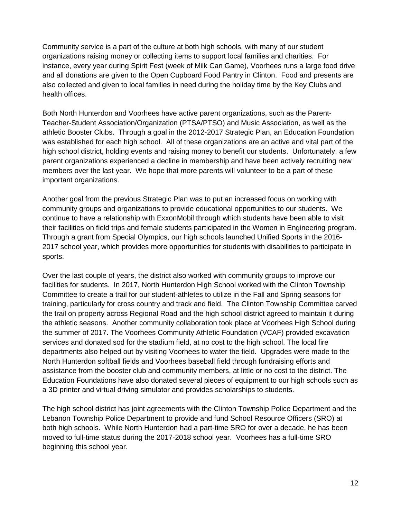Community service is a part of the culture at both high schools, with many of our student organizations raising money or collecting items to support local families and charities. For instance, every year during Spirit Fest (week of Milk Can Game), Voorhees runs a large food drive and all donations are given to the Open Cupboard Food Pantry in Clinton. Food and presents are also collected and given to local families in need during the holiday time by the Key Clubs and health offices.

Both North Hunterdon and Voorhees have active parent organizations, such as the Parent-Teacher-Student Association/Organization (PTSA/PTSO) and Music Association, as well as the athletic Booster Clubs. Through a goal in the 2012-2017 Strategic Plan, an Education Foundation was established for each high school. All of these organizations are an active and vital part of the high school district, holding events and raising money to benefit our students. Unfortunately, a few parent organizations experienced a decline in membership and have been actively recruiting new members over the last year. We hope that more parents will volunteer to be a part of these important organizations.

Another goal from the previous Strategic Plan was to put an increased focus on working with community groups and organizations to provide educational opportunities to our students. We continue to have a relationship with ExxonMobil through which students have been able to visit their facilities on field trips and female students participated in the Women in Engineering program. Through a grant from Special Olympics, our high schools launched Unified Sports in the 2016- 2017 school year, which provides more opportunities for students with disabilities to participate in sports.

Over the last couple of years, the district also worked with community groups to improve our facilities for students. In 2017, North Hunterdon High School worked with the Clinton Township Committee to create a trail for our student-athletes to utilize in the Fall and Spring seasons for training, particularly for cross country and track and field. The Clinton Township Committee carved the trail on property across Regional Road and the high school district agreed to maintain it during the athletic seasons. Another community collaboration took place at Voorhees High School during the summer of 2017. The Voorhees Community Athletic Foundation (VCAF) provided excavation services and donated sod for the stadium field, at no cost to the high school. The local fire departments also helped out by visiting Voorhees to water the field. Upgrades were made to the North Hunterdon softball fields and Voorhees baseball field through fundraising efforts and assistance from the booster club and community members, at little or no cost to the district. The Education Foundations have also donated several pieces of equipment to our high schools such as a 3D printer and virtual driving simulator and provides scholarships to students.

The high school district has joint agreements with the Clinton Township Police Department and the Lebanon Township Police Department to provide and fund School Resource Officers (SRO) at both high schools. While North Hunterdon had a part-time SRO for over a decade, he has been moved to full-time status during the 2017-2018 school year. Voorhees has a full-time SRO beginning this school year.